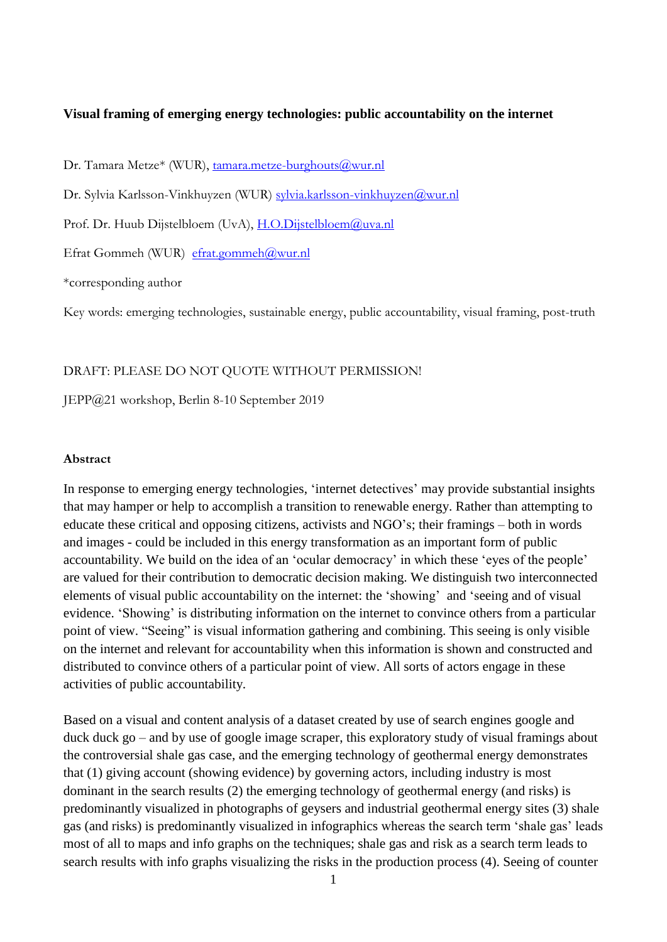# **Visual framing of emerging energy technologies: public accountability on the internet**

Dr. Tamara Metze\* (WUR), [tamara.metze-burghouts@wur.nl](mailto:tamara.metze-burghouts@wur.nl)

Dr. Sylvia Karlsson-Vinkhuyzen (WUR) [sylvia.karlsson-vinkhuyzen@wur.nl](mailto:sylvia.karlsson-vinkhuyzen@wur.nl)

Prof. Dr. Huub Dijstelbloem (UvA), [H.O.Dijstelbloem@uva.nl](mailto:H.O.Dijstelbloem@uva.nl)

Efrat Gommeh (WUR) [efrat.gommeh@wur.nl](mailto:efrat.gommeh@wur.nl)

\*corresponding author

Key words: emerging technologies, sustainable energy, public accountability, visual framing, post-truth

#### DRAFT: PLEASE DO NOT QUOTE WITHOUT PERMISSION!

JEPP@21 workshop, Berlin 8-10 September 2019

## **Abstract**

In response to emerging energy technologies, 'internet detectives' may provide substantial insights that may hamper or help to accomplish a transition to renewable energy. Rather than attempting to educate these critical and opposing citizens, activists and NGO's; their framings – both in words and images - could be included in this energy transformation as an important form of public accountability. We build on the idea of an 'ocular democracy' in which these 'eyes of the people' are valued for their contribution to democratic decision making. We distinguish two interconnected elements of visual public accountability on the internet: the 'showing' and 'seeing and of visual evidence. 'Showing' is distributing information on the internet to convince others from a particular point of view. "Seeing" is visual information gathering and combining. This seeing is only visible on the internet and relevant for accountability when this information is shown and constructed and distributed to convince others of a particular point of view. All sorts of actors engage in these activities of public accountability.

Based on a visual and content analysis of a dataset created by use of search engines google and duck duck go – and by use of google image scraper, this exploratory study of visual framings about the controversial shale gas case, and the emerging technology of geothermal energy demonstrates that (1) giving account (showing evidence) by governing actors, including industry is most dominant in the search results (2) the emerging technology of geothermal energy (and risks) is predominantly visualized in photographs of geysers and industrial geothermal energy sites (3) shale gas (and risks) is predominantly visualized in infographics whereas the search term 'shale gas' leads most of all to maps and info graphs on the techniques; shale gas and risk as a search term leads to search results with info graphs visualizing the risks in the production process (4). Seeing of counter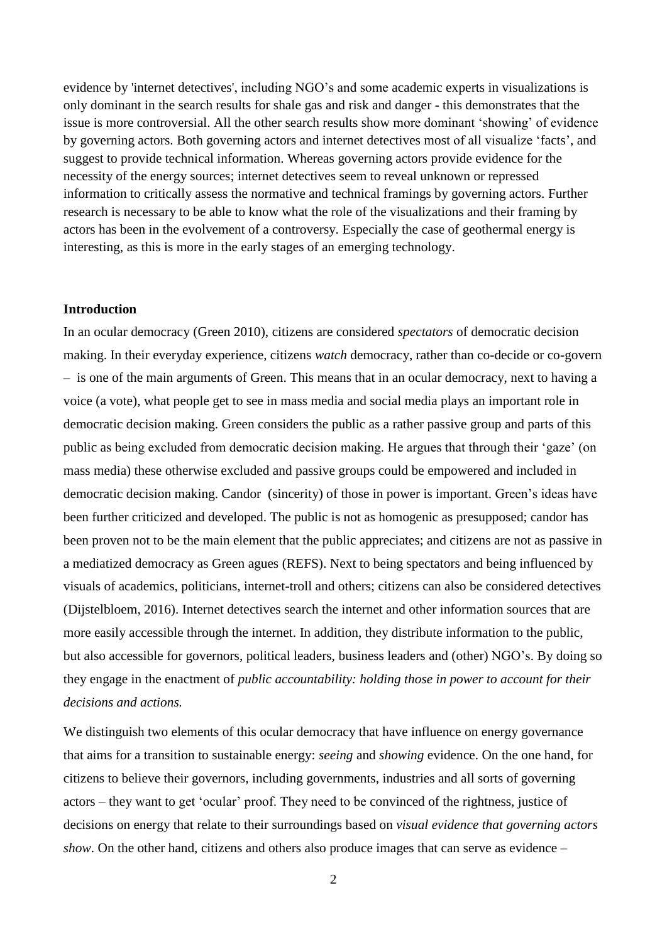evidence by 'internet detectives', including NGO's and some academic experts in visualizations is only dominant in the search results for shale gas and risk and danger - this demonstrates that the issue is more controversial. All the other search results show more dominant 'showing' of evidence by governing actors. Both governing actors and internet detectives most of all visualize 'facts', and suggest to provide technical information. Whereas governing actors provide evidence for the necessity of the energy sources; internet detectives seem to reveal unknown or repressed information to critically assess the normative and technical framings by governing actors. Further research is necessary to be able to know what the role of the visualizations and their framing by actors has been in the evolvement of a controversy. Especially the case of geothermal energy is interesting, as this is more in the early stages of an emerging technology.

# **Introduction**

In an ocular democracy (Green 2010), citizens are considered *spectators* of democratic decision making. In their everyday experience, citizens *watch* democracy, rather than co-decide or co-govern – is one of the main arguments of Green. This means that in an ocular democracy, next to having a voice (a vote), what people get to see in mass media and social media plays an important role in democratic decision making. Green considers the public as a rather passive group and parts of this public as being excluded from democratic decision making. He argues that through their 'gaze' (on mass media) these otherwise excluded and passive groups could be empowered and included in democratic decision making. Candor (sincerity) of those in power is important. Green's ideas have been further criticized and developed. The public is not as homogenic as presupposed; candor has been proven not to be the main element that the public appreciates; and citizens are not as passive in a mediatized democracy as Green agues (REFS). Next to being spectators and being influenced by visuals of academics, politicians, internet-troll and others; citizens can also be considered detectives (Dijstelbloem, 2016). Internet detectives search the internet and other information sources that are more easily accessible through the internet. In addition, they distribute information to the public, but also accessible for governors, political leaders, business leaders and (other) NGO's. By doing so they engage in the enactment of *public accountability: holding those in power to account for their decisions and actions.* 

We distinguish two elements of this ocular democracy that have influence on energy governance that aims for a transition to sustainable energy: *seeing* and *showing* evidence. On the one hand, for citizens to believe their governors, including governments, industries and all sorts of governing actors – they want to get 'ocular' proof. They need to be convinced of the rightness, justice of decisions on energy that relate to their surroundings based on *visual evidence that governing actors show*. On the other hand, citizens and others also produce images that can serve as evidence –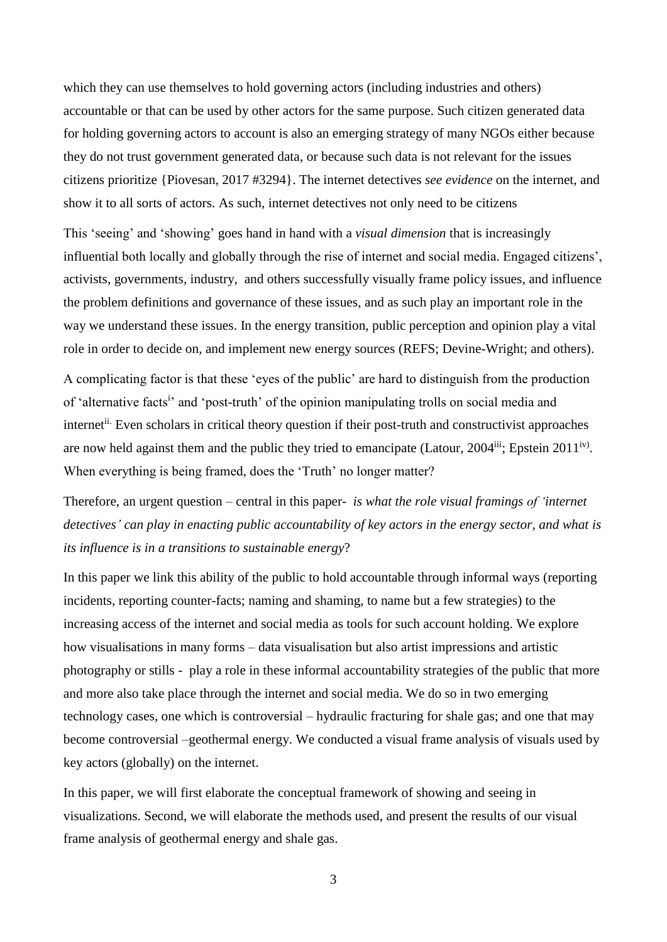which they can use themselves to hold governing actors (including industries and others) accountable or that can be used by other actors for the same purpose. Such citizen generated data for holding governing actors to account is also an emerging strategy of many NGOs either because they do not trust government generated data, or because such data is not relevant for the issues citizens prioritize {Piovesan, 2017 #3294}. The internet detectives *see evidence* on the internet, and show it to all sorts of actors. As such, internet detectives not only need to be citizens

This 'seeing' and 'showing' goes hand in hand with a *visual dimension* that is increasingly influential both locally and globally through the rise of internet and social media. Engaged citizens', activists, governments, industry, and others successfully visually frame policy issues, and influence the problem definitions and governance of these issues, and as such play an important role in the way we understand these issues. In the energy transition, public perception and opinion play a vital role in order to decide on, and implement new energy sources (REFS; Devine-Wright; and others).

A complicating factor is that these 'eyes of the public' are hard to distinguish from the production of 'alternative facts<sup>i</sup>' and 'post-truth' of the opinion manipulating trolls on social media and internet<sup>ii.</sup> Even scholars in critical theory question if their post-truth and constructivist approaches are now held against them and the public they tried to emancipate (Latour,  $2004$ <sup>iii</sup>; Epstein  $2011<sup>iv</sup>$ ). When everything is being framed, does the 'Truth' no longer matter?

Therefore, an urgent question – central in this paper- *is what the role visual framings of 'internet detectives' can play in enacting public accountability of key actors in the energy sector, and what is its influence is in a transitions to sustainable energy*?

In this paper we link this ability of the public to hold accountable through informal ways (reporting incidents, reporting counter-facts; naming and shaming, to name but a few strategies) to the increasing access of the internet and social media as tools for such account holding. We explore how visualisations in many forms – data visualisation but also artist impressions and artistic photography or stills - play a role in these informal accountability strategies of the public that more and more also take place through the internet and social media. We do so in two emerging technology cases, one which is controversial – hydraulic fracturing for shale gas; and one that may become controversial –geothermal energy. We conducted a visual frame analysis of visuals used by key actors (globally) on the internet.

In this paper, we will first elaborate the conceptual framework of showing and seeing in visualizations. Second, we will elaborate the methods used, and present the results of our visual frame analysis of geothermal energy and shale gas.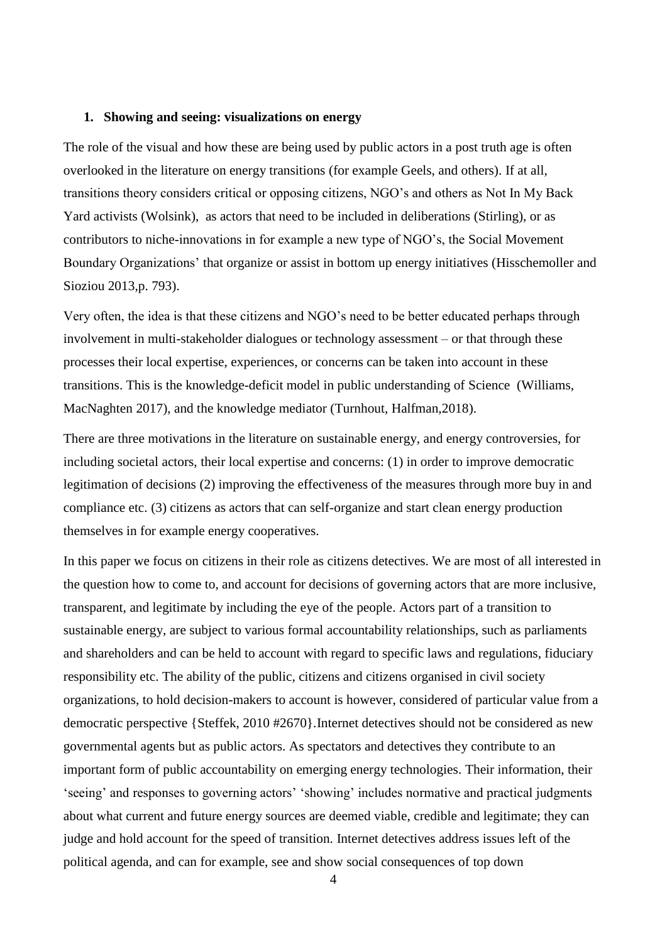#### **1. Showing and seeing: visualizations on energy**

The role of the visual and how these are being used by public actors in a post truth age is often overlooked in the literature on energy transitions (for example Geels, and others). If at all, transitions theory considers critical or opposing citizens, NGO's and others as Not In My Back Yard activists (Wolsink), as actors that need to be included in deliberations (Stirling), or as contributors to niche-innovations in for example a new type of NGO's, the Social Movement Boundary Organizations' that organize or assist in bottom up energy initiatives (Hisschemoller and Sioziou 2013,p. 793).

Very often, the idea is that these citizens and NGO's need to be better educated perhaps through involvement in multi-stakeholder dialogues or technology assessment – or that through these processes their local expertise, experiences, or concerns can be taken into account in these transitions. This is the knowledge-deficit model in public understanding of Science (Williams, MacNaghten 2017), and the knowledge mediator (Turnhout, Halfman,2018).

There are three motivations in the literature on sustainable energy, and energy controversies, for including societal actors, their local expertise and concerns: (1) in order to improve democratic legitimation of decisions (2) improving the effectiveness of the measures through more buy in and compliance etc. (3) citizens as actors that can self-organize and start clean energy production themselves in for example energy cooperatives.

In this paper we focus on citizens in their role as citizens detectives. We are most of all interested in the question how to come to, and account for decisions of governing actors that are more inclusive, transparent, and legitimate by including the eye of the people. Actors part of a transition to sustainable energy, are subject to various formal accountability relationships, such as parliaments and shareholders and can be held to account with regard to specific laws and regulations, fiduciary responsibility etc. The ability of the public, citizens and citizens organised in civil society organizations, to hold decision-makers to account is however, considered of particular value from a democratic perspective {Steffek, 2010 #2670}.Internet detectives should not be considered as new governmental agents but as public actors. As spectators and detectives they contribute to an important form of public accountability on emerging energy technologies. Their information, their 'seeing' and responses to governing actors' 'showing' includes normative and practical judgments about what current and future energy sources are deemed viable, credible and legitimate; they can judge and hold account for the speed of transition. Internet detectives address issues left of the political agenda, and can for example, see and show social consequences of top down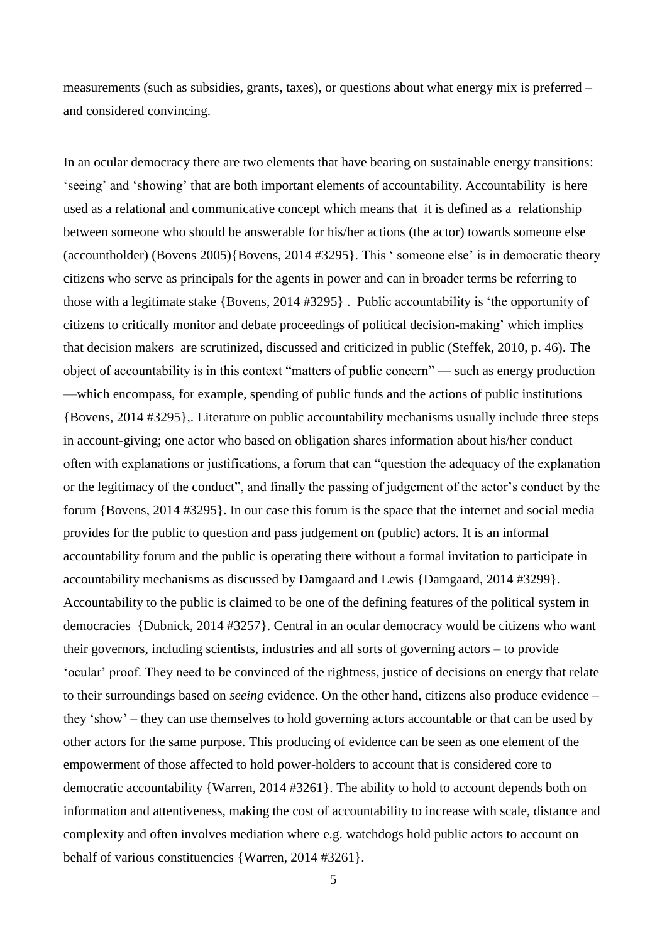measurements (such as subsidies, grants, taxes), or questions about what energy mix is preferred – and considered convincing.

In an ocular democracy there are two elements that have bearing on sustainable energy transitions: 'seeing' and 'showing' that are both important elements of accountability. Accountability is here used as a relational and communicative concept which means that it is defined as a relationship between someone who should be answerable for his/her actions (the actor) towards someone else (accountholder) (Bovens 2005){Bovens, 2014 #3295}. This ' someone else' is in democratic theory citizens who serve as principals for the agents in power and can in broader terms be referring to those with a legitimate stake {Bovens, 2014 #3295} . Public accountability is 'the opportunity of citizens to critically monitor and debate proceedings of political decision-making' which implies that decision makers are scrutinized, discussed and criticized in public (Steffek, 2010, p. 46). The object of accountability is in this context "matters of public concern" — such as energy production —which encompass, for example, spending of public funds and the actions of public institutions {Bovens, 2014 #3295},. Literature on public accountability mechanisms usually include three steps in account-giving; one actor who based on obligation shares information about his/her conduct often with explanations or justifications, a forum that can "question the adequacy of the explanation or the legitimacy of the conduct", and finally the passing of judgement of the actor's conduct by the forum {Bovens, 2014 #3295}. In our case this forum is the space that the internet and social media provides for the public to question and pass judgement on (public) actors. It is an informal accountability forum and the public is operating there without a formal invitation to participate in accountability mechanisms as discussed by Damgaard and Lewis {Damgaard, 2014 #3299}. Accountability to the public is claimed to be one of the defining features of the political system in democracies {Dubnick, 2014 #3257}. Central in an ocular democracy would be citizens who want their governors, including scientists, industries and all sorts of governing actors – to provide 'ocular' proof. They need to be convinced of the rightness, justice of decisions on energy that relate to their surroundings based on *seeing* evidence. On the other hand, citizens also produce evidence – they 'show' – they can use themselves to hold governing actors accountable or that can be used by other actors for the same purpose. This producing of evidence can be seen as one element of the empowerment of those affected to hold power-holders to account that is considered core to democratic accountability {Warren, 2014 #3261}. The ability to hold to account depends both on information and attentiveness, making the cost of accountability to increase with scale, distance and complexity and often involves mediation where e.g. watchdogs hold public actors to account on behalf of various constituencies {Warren, 2014 #3261}.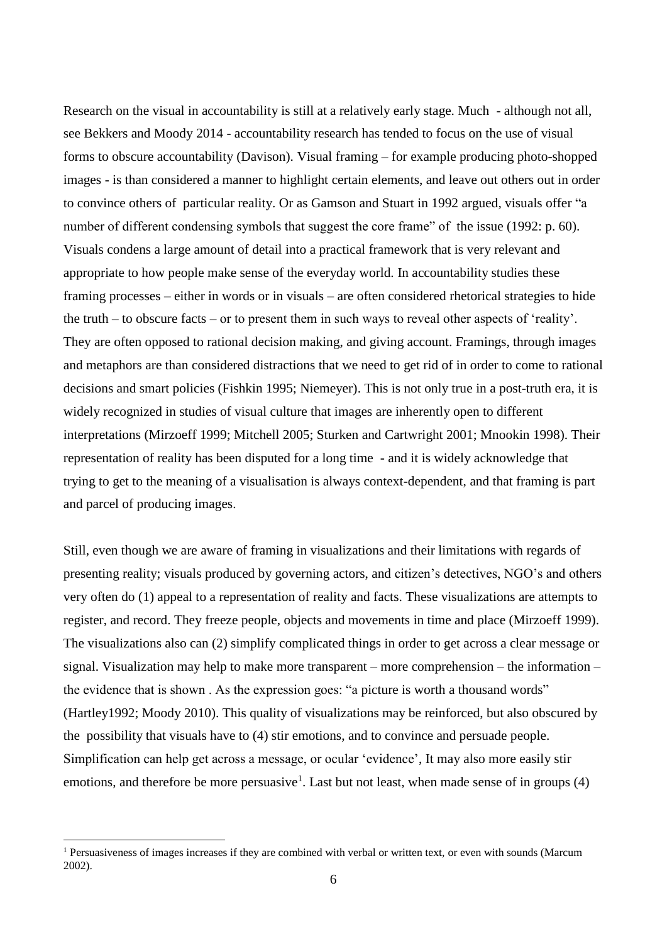Research on the visual in accountability is still at a relatively early stage. Much - although not all, see Bekkers and Moody 2014 - accountability research has tended to focus on the use of visual forms to obscure accountability (Davison). Visual framing – for example producing photo-shopped images - is than considered a manner to highlight certain elements, and leave out others out in order to convince others of particular reality. Or as Gamson and Stuart in 1992 argued, visuals offer "a number of different condensing symbols that suggest the core frame" of the issue (1992: p. 60). Visuals condens a large amount of detail into a practical framework that is very relevant and appropriate to how people make sense of the everyday world. In accountability studies these framing processes – either in words or in visuals – are often considered rhetorical strategies to hide the truth – to obscure facts – or to present them in such ways to reveal other aspects of 'reality'. They are often opposed to rational decision making, and giving account. Framings, through images and metaphors are than considered distractions that we need to get rid of in order to come to rational decisions and smart policies (Fishkin 1995; Niemeyer). This is not only true in a post-truth era, it is widely recognized in studies of visual culture that images are inherently open to different interpretations (Mirzoeff 1999; Mitchell 2005; Sturken and Cartwright 2001; Mnookin 1998). Their representation of reality has been disputed for a long time - and it is widely acknowledge that trying to get to the meaning of a visualisation is always context-dependent, and that framing is part and parcel of producing images.

Still, even though we are aware of framing in visualizations and their limitations with regards of presenting reality; visuals produced by governing actors, and citizen's detectives, NGO's and others very often do (1) appeal to a representation of reality and facts. These visualizations are attempts to register, and record. They freeze people, objects and movements in time and place (Mirzoeff 1999). The visualizations also can (2) simplify complicated things in order to get across a clear message or signal. Visualization may help to make more transparent – more comprehension – the information – the evidence that is shown . As the expression goes: "a picture is worth a thousand words" (Hartley1992; Moody 2010). This quality of visualizations may be reinforced, but also obscured by the possibility that visuals have to (4) stir emotions, and to convince and persuade people. Simplification can help get across a message, or ocular 'evidence', It may also more easily stir emotions, and therefore be more persuasive<sup>1</sup>. Last but not least, when made sense of in groups  $(4)$ 

<sup>&</sup>lt;sup>1</sup> Persuasiveness of images increases if they are combined with verbal or written text, or even with sounds (Marcum 2002).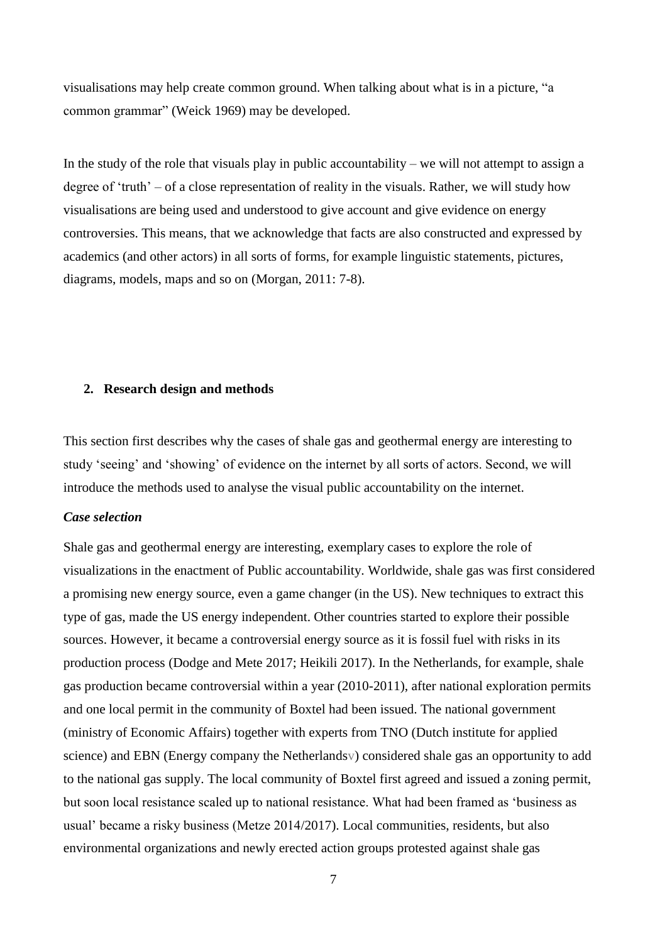visualisations may help create common ground. When talking about what is in a picture, "a common grammar" (Weick 1969) may be developed.

In the study of the role that visuals play in public accountability – we will not attempt to assign a degree of 'truth' – of a close representation of reality in the visuals. Rather, we will study how visualisations are being used and understood to give account and give evidence on energy controversies. This means, that we acknowledge that facts are also constructed and expressed by academics (and other actors) in all sorts of forms, for example linguistic statements, pictures, diagrams, models, maps and so on (Morgan, 2011: 7-8).

### **2. Research design and methods**

This section first describes why the cases of shale gas and geothermal energy are interesting to study 'seeing' and 'showing' of evidence on the internet by all sorts of actors. Second, we will introduce the methods used to analyse the visual public accountability on the internet.

## *Case selection*

Shale gas and geothermal energy are interesting, exemplary cases to explore the role of visualizations in the enactment of Public accountability. Worldwide, shale gas was first considered a promising new energy source, even a game changer (in the US). New techniques to extract this type of gas, made the US energy independent. Other countries started to explore their possible sources. However, it became a controversial energy source as it is fossil fuel with risks in its production process (Dodge and Mete 2017; Heikili 2017). In the Netherlands, for example, shale gas production became controversial within a year (2010-2011), after national exploration permits and one local permit in the community of Boxtel had been issued. The national government (ministry of Economic Affairs) together with experts from TNO (Dutch institute for applied science) and EBN (Energy company the Netherlandsv) considered shale gas an opportunity to add to the national gas supply. The local community of Boxtel first agreed and issued a zoning permit, but soon local resistance scaled up to national resistance. What had been framed as 'business as usual' became a risky business (Metze 2014/2017). Local communities, residents, but also environmental organizations and newly erected action groups protested against shale gas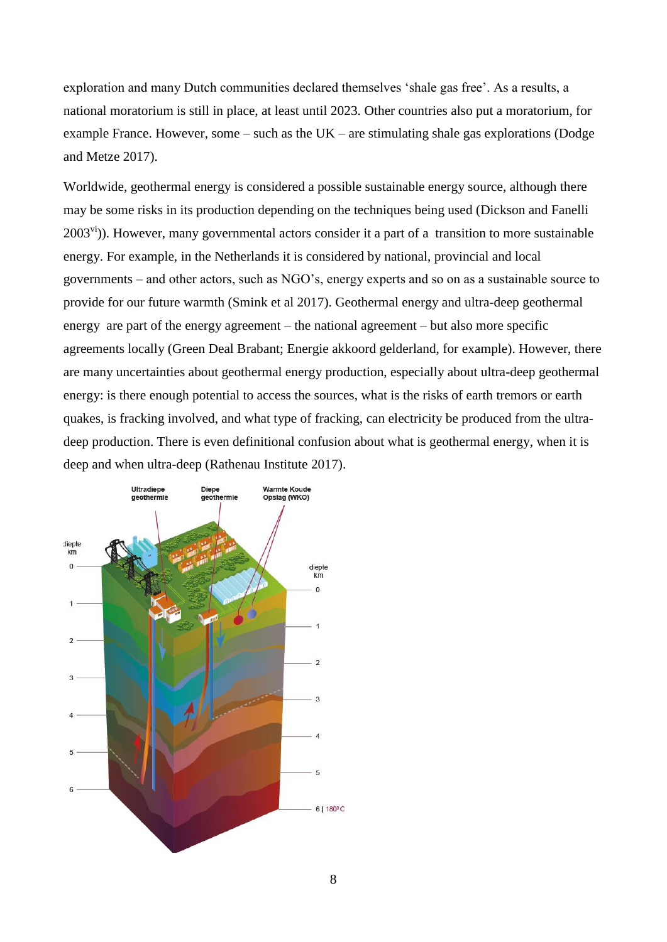exploration and many Dutch communities declared themselves 'shale gas free'. As a results, a national moratorium is still in place, at least until 2023. Other countries also put a moratorium, for example France. However, some – such as the UK – are stimulating shale gas explorations (Dodge and Metze 2017).

Worldwide, geothermal energy is considered a possible sustainable energy source, although there may be some risks in its production depending on the techniques being used (Dickson and Fanelli  $2003^{\text{vi}}$ ). However, many governmental actors consider it a part of a transition to more sustainable energy. For example, in the Netherlands it is considered by national, provincial and local governments – and other actors, such as NGO's, energy experts and so on as a sustainable source to provide for our future warmth (Smink et al 2017). Geothermal energy and ultra-deep geothermal energy are part of the energy agreement – the national agreement – but also more specific agreements locally (Green Deal Brabant; Energie akkoord gelderland, for example). However, there are many uncertainties about geothermal energy production, especially about ultra-deep geothermal energy: is there enough potential to access the sources, what is the risks of earth tremors or earth quakes, is fracking involved, and what type of fracking, can electricity be produced from the ultradeep production. There is even definitional confusion about what is geothermal energy, when it is deep and when ultra-deep (Rathenau Institute 2017).

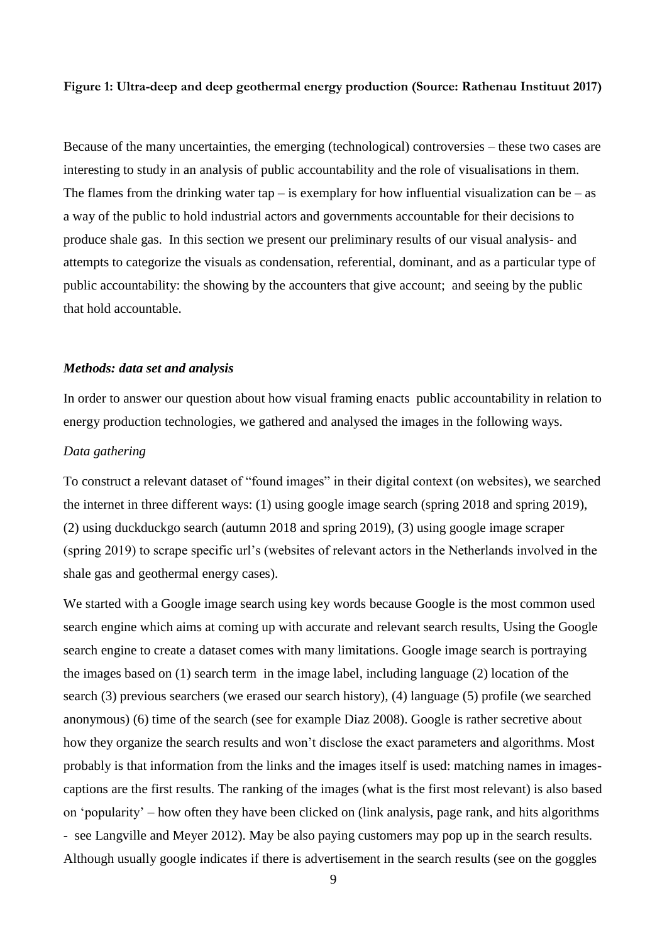## **Figure 1: Ultra-deep and deep geothermal energy production (Source: Rathenau Instituut 2017)**

Because of the many uncertainties, the emerging (technological) controversies – these two cases are interesting to study in an analysis of public accountability and the role of visualisations in them. The flames from the drinking water tap – is exemplary for how influential visualization can be – as a way of the public to hold industrial actors and governments accountable for their decisions to produce shale gas. In this section we present our preliminary results of our visual analysis- and attempts to categorize the visuals as condensation, referential, dominant, and as a particular type of public accountability: the showing by the accounters that give account; and seeing by the public that hold accountable.

### *Methods: data set and analysis*

In order to answer our question about how visual framing enacts public accountability in relation to energy production technologies, we gathered and analysed the images in the following ways.

#### *Data gathering*

To construct a relevant dataset of "found images" in their digital context (on websites), we searched the internet in three different ways: (1) using google image search (spring 2018 and spring 2019), (2) using duckduckgo search (autumn 2018 and spring 2019), (3) using google image scraper (spring 2019) to scrape specific url's (websites of relevant actors in the Netherlands involved in the shale gas and geothermal energy cases).

We started with a Google image search using key words because Google is the most common used search engine which aims at coming up with accurate and relevant search results, Using the Google search engine to create a dataset comes with many limitations. Google image search is portraying the images based on (1) search term in the image label, including language (2) location of the search (3) previous searchers (we erased our search history), (4) language (5) profile (we searched anonymous) (6) time of the search (see for example Diaz 2008). Google is rather secretive about how they organize the search results and won't disclose the exact parameters and algorithms. Most probably is that information from the links and the images itself is used: matching names in imagescaptions are the first results. The ranking of the images (what is the first most relevant) is also based on 'popularity' – how often they have been clicked on (link analysis, page rank, and hits algorithms - see Langville and Meyer 2012). May be also paying customers may pop up in the search results. Although usually google indicates if there is advertisement in the search results (see on the goggles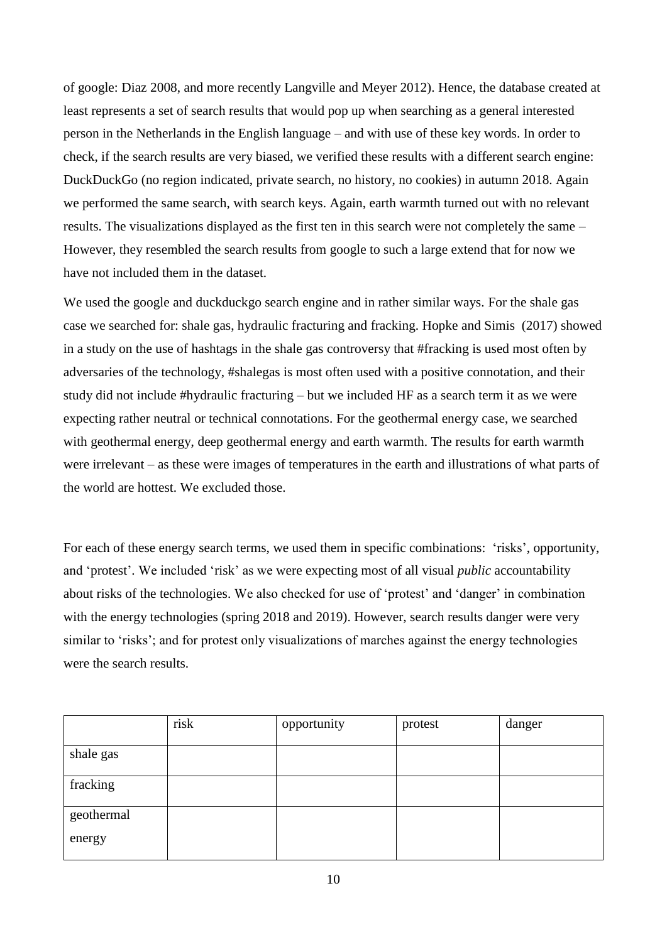of google: Diaz 2008, and more recently Langville and Meyer 2012). Hence, the database created at least represents a set of search results that would pop up when searching as a general interested person in the Netherlands in the English language – and with use of these key words. In order to check, if the search results are very biased, we verified these results with a different search engine: DuckDuckGo (no region indicated, private search, no history, no cookies) in autumn 2018. Again we performed the same search, with search keys. Again, earth warmth turned out with no relevant results. The visualizations displayed as the first ten in this search were not completely the same – However, they resembled the search results from google to such a large extend that for now we have not included them in the dataset.

We used the google and duckduckgo search engine and in rather similar ways. For the shale gas case we searched for: shale gas, hydraulic fracturing and fracking. Hopke and Simis (2017) showed in a study on the use of hashtags in the shale gas controversy that #fracking is used most often by adversaries of the technology, #shalegas is most often used with a positive connotation, and their study did not include #hydraulic fracturing – but we included HF as a search term it as we were expecting rather neutral or technical connotations. For the geothermal energy case, we searched with geothermal energy, deep geothermal energy and earth warmth. The results for earth warmth were irrelevant – as these were images of temperatures in the earth and illustrations of what parts of the world are hottest. We excluded those.

For each of these energy search terms, we used them in specific combinations: 'risks', opportunity, and 'protest'. We included 'risk' as we were expecting most of all visual *public* accountability about risks of the technologies. We also checked for use of 'protest' and 'danger' in combination with the energy technologies (spring 2018 and 2019). However, search results danger were very similar to 'risks'; and for protest only visualizations of marches against the energy technologies were the search results.

|            | risk | opportunity | protest | danger |
|------------|------|-------------|---------|--------|
| shale gas  |      |             |         |        |
| fracking   |      |             |         |        |
| geothermal |      |             |         |        |
| energy     |      |             |         |        |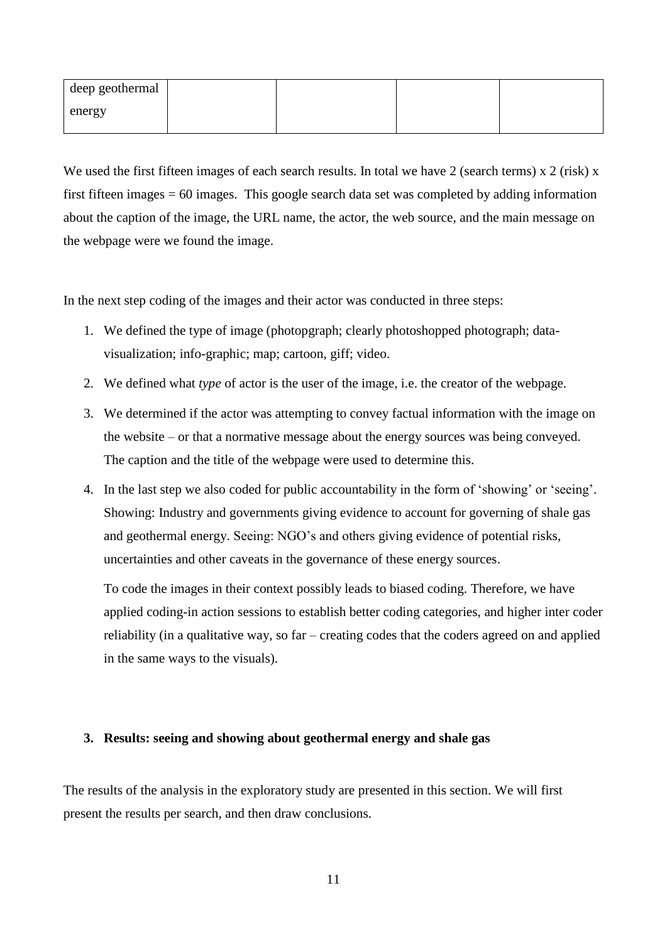| deep geothermal       |  |  |
|-----------------------|--|--|
| $_{\parallel}$ energy |  |  |

We used the first fifteen images of each search results. In total we have 2 (search terms) x 2 (risk) x first fifteen images = 60 images. This google search data set was completed by adding information about the caption of the image, the URL name, the actor, the web source, and the main message on the webpage were we found the image.

In the next step coding of the images and their actor was conducted in three steps:

- 1. We defined the type of image (photopgraph; clearly photoshopped photograph; datavisualization; info-graphic; map; cartoon, giff; video.
- 2. We defined what *type* of actor is the user of the image, i.e. the creator of the webpage.
- 3. We determined if the actor was attempting to convey factual information with the image on the website – or that a normative message about the energy sources was being conveyed. The caption and the title of the webpage were used to determine this.
- 4. In the last step we also coded for public accountability in the form of 'showing' or 'seeing'. Showing: Industry and governments giving evidence to account for governing of shale gas and geothermal energy. Seeing: NGO's and others giving evidence of potential risks, uncertainties and other caveats in the governance of these energy sources.

To code the images in their context possibly leads to biased coding. Therefore, we have applied coding-in action sessions to establish better coding categories, and higher inter coder reliability (in a qualitative way, so far – creating codes that the coders agreed on and applied in the same ways to the visuals).

# **3. Results: seeing and showing about geothermal energy and shale gas**

The results of the analysis in the exploratory study are presented in this section. We will first present the results per search, and then draw conclusions.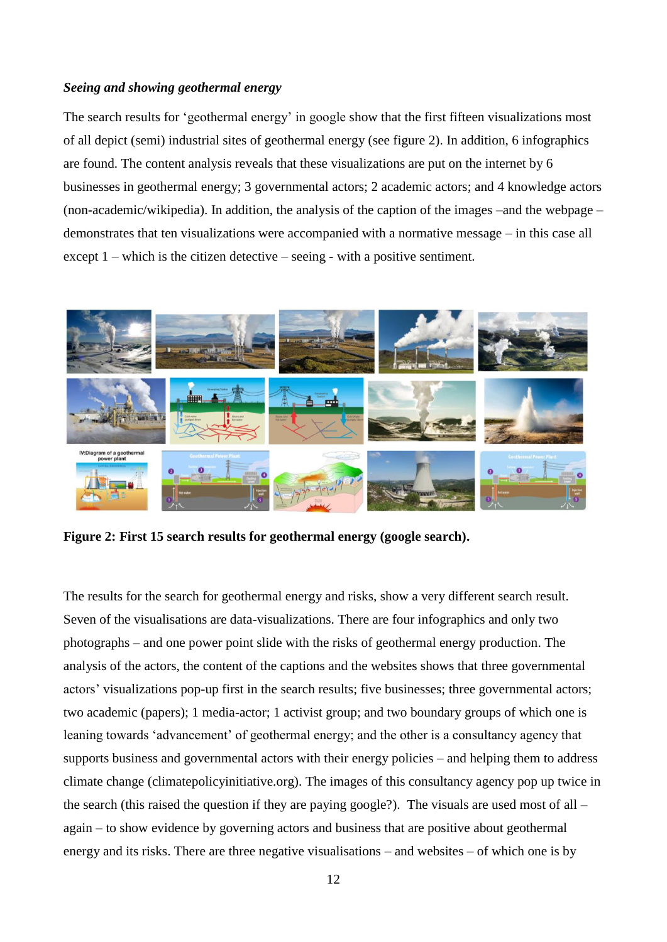## *Seeing and showing geothermal energy*

The search results for 'geothermal energy' in google show that the first fifteen visualizations most of all depict (semi) industrial sites of geothermal energy (see figure 2). In addition, 6 infographics are found. The content analysis reveals that these visualizations are put on the internet by 6 businesses in geothermal energy; 3 governmental actors; 2 academic actors; and 4 knowledge actors (non-academic/wikipedia). In addition, the analysis of the caption of the images –and the webpage – demonstrates that ten visualizations were accompanied with a normative message – in this case all except 1 – which is the citizen detective – seeing - with a positive sentiment.



**Figure 2: First 15 search results for geothermal energy (google search).** 

The results for the search for geothermal energy and risks, show a very different search result. Seven of the visualisations are data-visualizations. There are four infographics and only two photographs – and one power point slide with the risks of geothermal energy production. The analysis of the actors, the content of the captions and the websites shows that three governmental actors' visualizations pop-up first in the search results; five businesses; three governmental actors; two academic (papers); 1 media-actor; 1 activist group; and two boundary groups of which one is leaning towards 'advancement' of geothermal energy; and the other is a consultancy agency that supports business and governmental actors with their energy policies – and helping them to address climate change (climatepolicyinitiative.org). The images of this consultancy agency pop up twice in the search (this raised the question if they are paying google?). The visuals are used most of all – again – to show evidence by governing actors and business that are positive about geothermal energy and its risks. There are three negative visualisations – and websites – of which one is by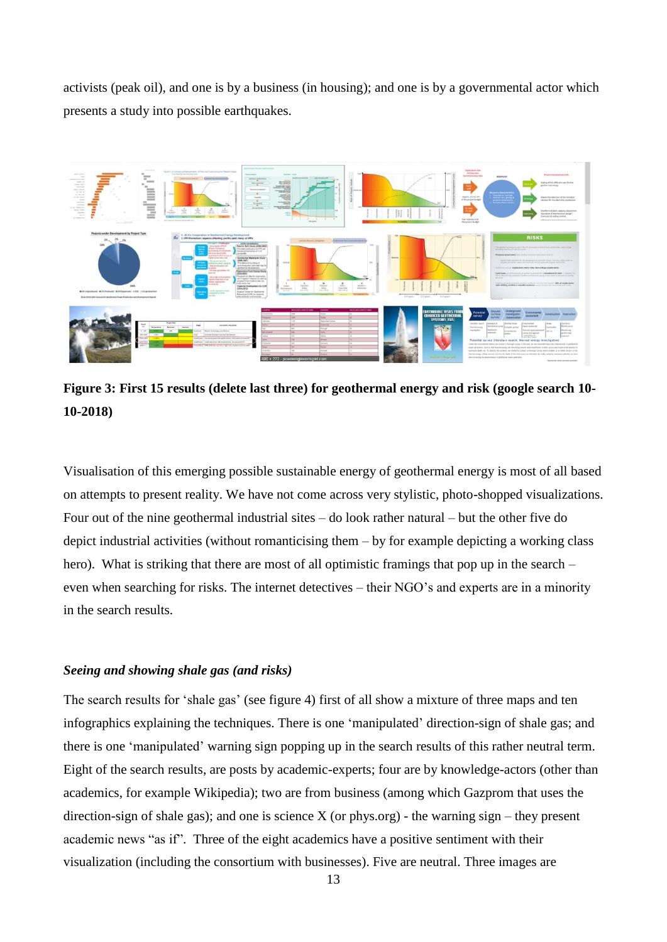activists (peak oil), and one is by a business (in housing); and one is by a governmental actor which presents a study into possible earthquakes.



**Figure 3: First 15 results (delete last three) for geothermal energy and risk (google search 10- 10-2018)**

Visualisation of this emerging possible sustainable energy of geothermal energy is most of all based on attempts to present reality. We have not come across very stylistic, photo-shopped visualizations. Four out of the nine geothermal industrial sites – do look rather natural – but the other five do depict industrial activities (without romanticising them – by for example depicting a working class hero). What is striking that there are most of all optimistic framings that pop up in the search – even when searching for risks. The internet detectives – their NGO's and experts are in a minority in the search results.

## *Seeing and showing shale gas (and risks)*

The search results for 'shale gas' (see figure 4) first of all show a mixture of three maps and ten infographics explaining the techniques. There is one 'manipulated' direction-sign of shale gas; and there is one 'manipulated' warning sign popping up in the search results of this rather neutral term. Eight of the search results, are posts by academic-experts; four are by knowledge-actors (other than academics, for example Wikipedia); two are from business (among which Gazprom that uses the direction-sign of shale gas); and one is science X (or phys.org) - the warning sign – they present academic news "as if". Three of the eight academics have a positive sentiment with their visualization (including the consortium with businesses). Five are neutral. Three images are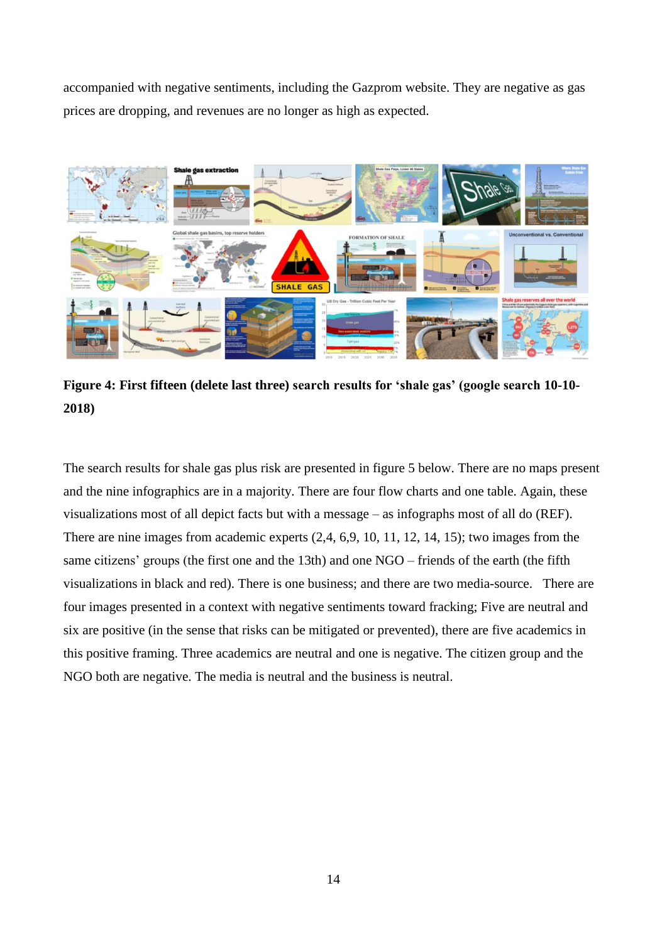accompanied with negative sentiments, including the Gazprom website. They are negative as gas prices are dropping, and revenues are no longer as high as expected.



**Figure 4: First fifteen (delete last three) search results for 'shale gas' (google search 10-10- 2018)**

The search results for shale gas plus risk are presented in figure 5 below. There are no maps present and the nine infographics are in a majority. There are four flow charts and one table. Again, these visualizations most of all depict facts but with a message – as infographs most of all do (REF). There are nine images from academic experts (2,4, 6,9, 10, 11, 12, 14, 15); two images from the same citizens' groups (the first one and the 13th) and one NGO – friends of the earth (the fifth visualizations in black and red). There is one business; and there are two media-source. There are four images presented in a context with negative sentiments toward fracking; Five are neutral and six are positive (in the sense that risks can be mitigated or prevented), there are five academics in this positive framing. Three academics are neutral and one is negative. The citizen group and the NGO both are negative. The media is neutral and the business is neutral.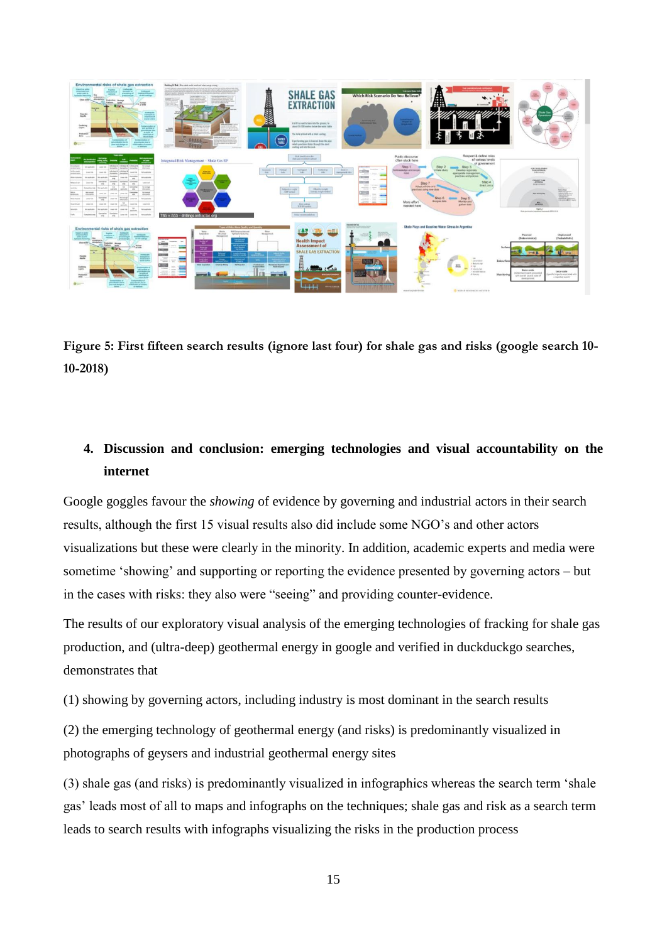

**Figure 5: First fifteen search results (ignore last four) for shale gas and risks (google search 10- 10-2018)**

# **4. Discussion and conclusion: emerging technologies and visual accountability on the internet**

Google goggles favour the *showing* of evidence by governing and industrial actors in their search results, although the first 15 visual results also did include some NGO's and other actors visualizations but these were clearly in the minority. In addition, academic experts and media were sometime 'showing' and supporting or reporting the evidence presented by governing actors – but in the cases with risks: they also were "seeing" and providing counter-evidence.

The results of our exploratory visual analysis of the emerging technologies of fracking for shale gas production, and (ultra-deep) geothermal energy in google and verified in duckduckgo searches, demonstrates that

(1) showing by governing actors, including industry is most dominant in the search results

(2) the emerging technology of geothermal energy (and risks) is predominantly visualized in photographs of geysers and industrial geothermal energy sites

(3) shale gas (and risks) is predominantly visualized in infographics whereas the search term 'shale gas' leads most of all to maps and infographs on the techniques; shale gas and risk as a search term leads to search results with infographs visualizing the risks in the production process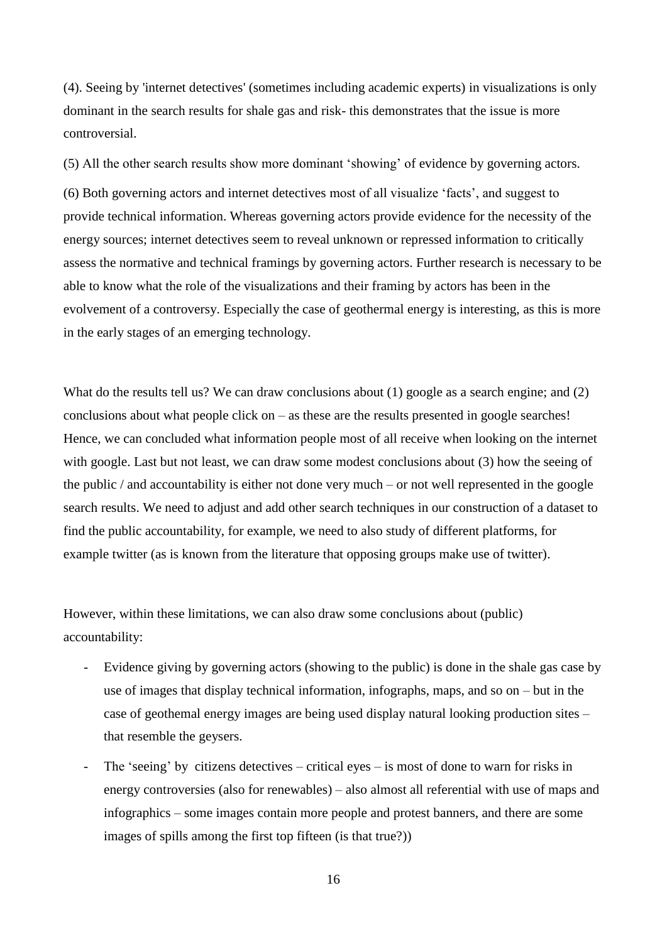(4). Seeing by 'internet detectives' (sometimes including academic experts) in visualizations is only dominant in the search results for shale gas and risk- this demonstrates that the issue is more controversial.

(5) All the other search results show more dominant 'showing' of evidence by governing actors.

(6) Both governing actors and internet detectives most of all visualize 'facts', and suggest to provide technical information. Whereas governing actors provide evidence for the necessity of the energy sources; internet detectives seem to reveal unknown or repressed information to critically assess the normative and technical framings by governing actors. Further research is necessary to be able to know what the role of the visualizations and their framing by actors has been in the evolvement of a controversy. Especially the case of geothermal energy is interesting, as this is more in the early stages of an emerging technology.

What do the results tell us? We can draw conclusions about (1) google as a search engine; and (2) conclusions about what people click on – as these are the results presented in google searches! Hence, we can concluded what information people most of all receive when looking on the internet with google. Last but not least, we can draw some modest conclusions about (3) how the seeing of the public / and accountability is either not done very much – or not well represented in the google search results. We need to adjust and add other search techniques in our construction of a dataset to find the public accountability, for example, we need to also study of different platforms, for example twitter (as is known from the literature that opposing groups make use of twitter).

However, within these limitations, we can also draw some conclusions about (public) accountability:

- Evidence giving by governing actors (showing to the public) is done in the shale gas case by use of images that display technical information, infographs, maps, and so on – but in the case of geothemal energy images are being used display natural looking production sites – that resemble the geysers.
- The 'seeing' by citizens detectives critical eyes is most of done to warn for risks in energy controversies (also for renewables) – also almost all referential with use of maps and infographics – some images contain more people and protest banners, and there are some images of spills among the first top fifteen (is that true?))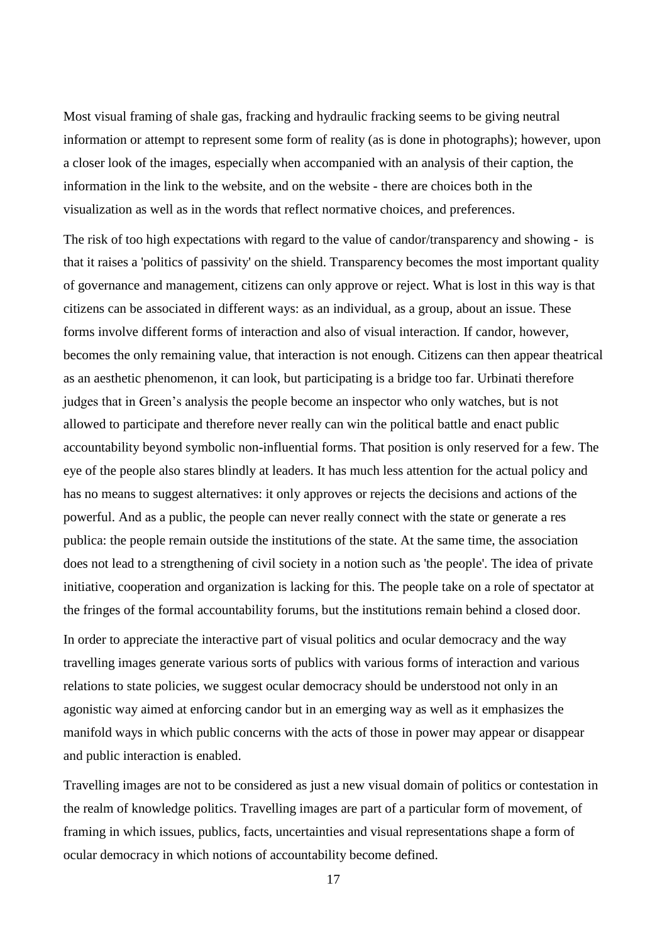Most visual framing of shale gas, fracking and hydraulic fracking seems to be giving neutral information or attempt to represent some form of reality (as is done in photographs); however, upon a closer look of the images, especially when accompanied with an analysis of their caption, the information in the link to the website, and on the website - there are choices both in the visualization as well as in the words that reflect normative choices, and preferences.

The risk of too high expectations with regard to the value of candor/transparency and showing - is that it raises a 'politics of passivity' on the shield. Transparency becomes the most important quality of governance and management, citizens can only approve or reject. What is lost in this way is that citizens can be associated in different ways: as an individual, as a group, about an issue. These forms involve different forms of interaction and also of visual interaction. If candor, however, becomes the only remaining value, that interaction is not enough. Citizens can then appear theatrical as an aesthetic phenomenon, it can look, but participating is a bridge too far. Urbinati therefore judges that in Green's analysis the people become an inspector who only watches, but is not allowed to participate and therefore never really can win the political battle and enact public accountability beyond symbolic non-influential forms. That position is only reserved for a few. The eye of the people also stares blindly at leaders. It has much less attention for the actual policy and has no means to suggest alternatives: it only approves or rejects the decisions and actions of the powerful. And as a public, the people can never really connect with the state or generate a res publica: the people remain outside the institutions of the state. At the same time, the association does not lead to a strengthening of civil society in a notion such as 'the people'. The idea of private initiative, cooperation and organization is lacking for this. The people take on a role of spectator at the fringes of the formal accountability forums, but the institutions remain behind a closed door.

In order to appreciate the interactive part of visual politics and ocular democracy and the way travelling images generate various sorts of publics with various forms of interaction and various relations to state policies, we suggest ocular democracy should be understood not only in an agonistic way aimed at enforcing candor but in an emerging way as well as it emphasizes the manifold ways in which public concerns with the acts of those in power may appear or disappear and public interaction is enabled.

Travelling images are not to be considered as just a new visual domain of politics or contestation in the realm of knowledge politics. Travelling images are part of a particular form of movement, of framing in which issues, publics, facts, uncertainties and visual representations shape a form of ocular democracy in which notions of accountability become defined.